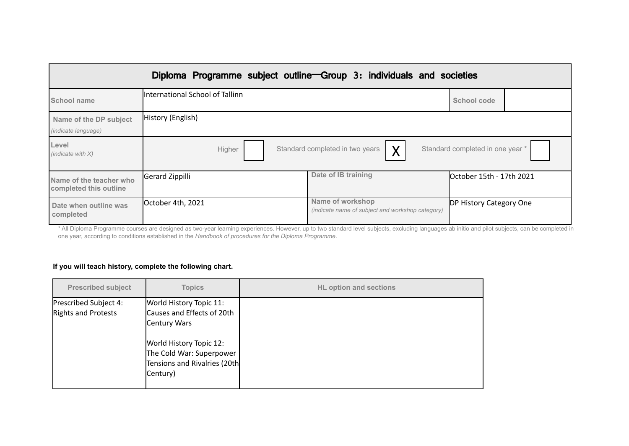|                                                      | Diploma Programme subject outline-Group 3: individuals and societies |                                                                      |                                  |
|------------------------------------------------------|----------------------------------------------------------------------|----------------------------------------------------------------------|----------------------------------|
| School name                                          | International School of Tallinn                                      |                                                                      | School code                      |
| Name of the DP subject<br><i>(indicate language)</i> | History (English)                                                    |                                                                      |                                  |
| Level<br>(indicate with $X$ )                        | Higher                                                               | $\sf X$<br>Standard completed in two years                           | Standard completed in one year * |
| Name of the teacher who<br>completed this outline    | Gerard Zippilli                                                      | Date of IB training                                                  | October 15th - 17th 2021         |
| Date when outline was<br>completed                   | October 4th, 2021                                                    | Name of workshop<br>(indicate name of subject and workshop category) | DP History Category One          |

\* All Diploma Programme courses are designed as two-year learning experiences. However, up to two standard level subjects, excluding languages ab initio and pilot subjects, can be completed in one year, according to conditions established in the *Handbook of procedures for the Diploma Programme*.

# **If you will teach history, complete the following chart.**

| <b>Prescribed subject</b>                    | <b>Topics</b>                                                                                   | <b>HL option and sections</b> |
|----------------------------------------------|-------------------------------------------------------------------------------------------------|-------------------------------|
| Prescribed Subject 4:<br>Rights and Protests | World History Topic 11:<br>Causes and Effects of 20th<br>Century Wars                           |                               |
|                                              | World History Topic 12:<br>The Cold War: Superpower<br>Tensions and Rivalries (20th<br>Century) |                               |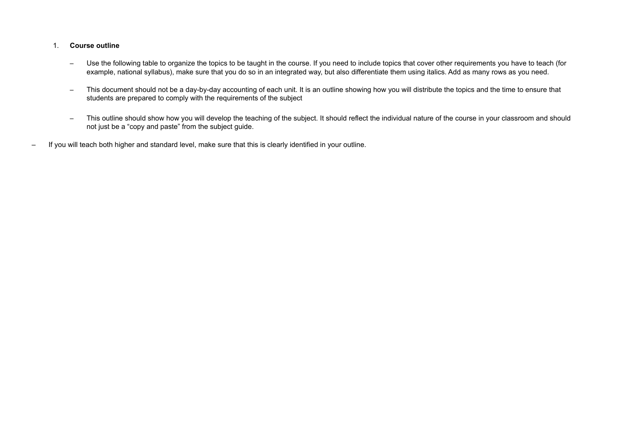### 1. **Course outline**

- Use the following table to organize the topics to be taught in the course. If you need to include topics that cover other requirements you have to teach (for example, national syllabus), make sure that you do so in an integrated way, but also differentiate them using italics. Add as many rows as you need.
- This document should not be a day-by-day accounting of each unit. It is an outline showing how you will distribute the topics and the time to ensure that students are prepared to comply with the requirements of the subject
- This outline should show how you will develop the teaching of the subject. It should reflect the individual nature of the course in your classroom and should not just be a "copy and paste" from the subject guide.
- If you will teach both higher and standard level, make sure that this is clearly identified in your outline.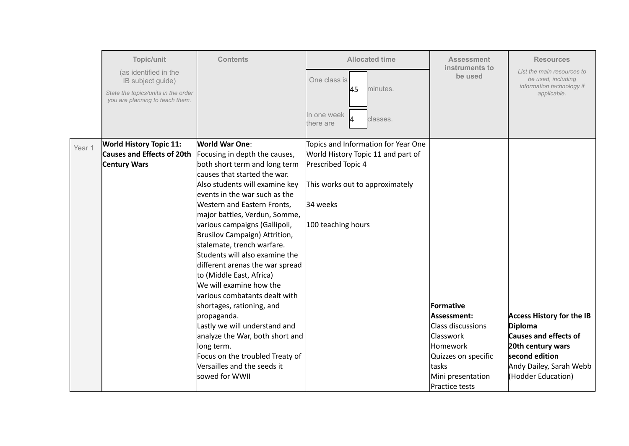|        | Topic/unit<br>(as identified in the<br>IB subject guide)<br>State the topics/units in the order<br>you are planning to teach them. | <b>Contents</b>                                                                                                                                                                                                                                                                                                                                                                                                                                                                                                                                                                                                                                                                                                                            | <b>Allocated time</b><br>One class is<br>145<br>minutes.<br>In one week<br>classes.<br>there are                                                                     | <b>Assessment</b><br>instruments to<br>be used                                                                                                                      | <b>Resources</b><br>List the main resources to<br>be used, including<br>information technology if<br>applicable.                                                    |
|--------|------------------------------------------------------------------------------------------------------------------------------------|--------------------------------------------------------------------------------------------------------------------------------------------------------------------------------------------------------------------------------------------------------------------------------------------------------------------------------------------------------------------------------------------------------------------------------------------------------------------------------------------------------------------------------------------------------------------------------------------------------------------------------------------------------------------------------------------------------------------------------------------|----------------------------------------------------------------------------------------------------------------------------------------------------------------------|---------------------------------------------------------------------------------------------------------------------------------------------------------------------|---------------------------------------------------------------------------------------------------------------------------------------------------------------------|
| Year 1 | <b>World History Topic 11:</b><br><b>Causes and Effects of 20th</b><br><b>Century Wars</b>                                         | <b>World War One:</b><br>Focusing in depth the causes,<br>both short term and long term<br>causes that started the war.<br>Also students will examine key<br>levents in the war such as the<br>Western and Eastern Fronts,<br>major battles, Verdun, Somme,<br>various campaigns (Gallipoli,<br>Brusilov Campaign) Attrition,<br>stalemate, trench warfare.<br>Students will also examine the<br>different arenas the war spread<br>to (Middle East, Africa)<br>We will examine how the<br>various combatants dealt with<br>shortages, rationing, and<br>propaganda.<br>Lastly we will understand and<br>analyze the War, both short and<br>long term.<br>Focus on the troubled Treaty of<br>Wersailles and the seeds it<br>sowed for WWII | Topics and Information for Year One<br>World History Topic 11 and part of<br>Prescribed Topic 4<br>This works out to approximately<br>34 weeks<br>100 teaching hours | Formative<br>Assessment:<br>Class discussions<br><b>Classwork</b><br><b>Homework</b><br>Quizzes on specific<br><b>Itasks</b><br>Mini presentation<br>Practice tests | <b>Access History for the IB</b><br><b>Diploma</b><br>Causes and effects of<br>20th century wars<br>second edition<br>Andy Dailey, Sarah Webb<br>(Hodder Education) |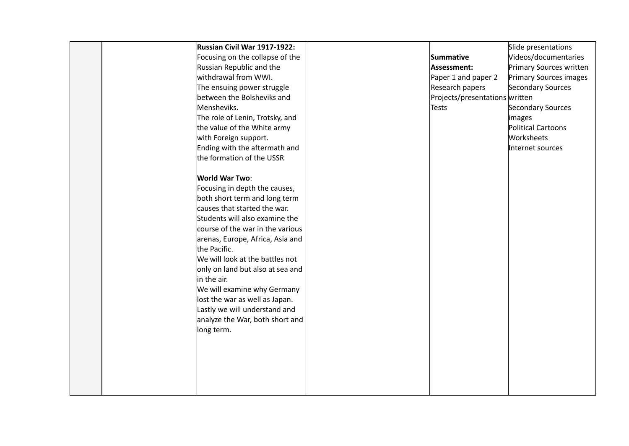|  | Russian Civil War 1917-1922:     |                                | Slide presentations           |
|--|----------------------------------|--------------------------------|-------------------------------|
|  | Focusing on the collapse of the  | Summative                      | Videos/documentaries          |
|  | Russian Republic and the         | Assessment:                    | Primary Sources written       |
|  | withdrawal from WWI.             | Paper 1 and paper 2            | <b>Primary Sources images</b> |
|  | The ensuing power struggle       | Research papers                | Secondary Sources             |
|  | between the Bolsheviks and       | Projects/presentations written |                               |
|  | Mensheviks.                      | <b>Tests</b>                   | Secondary Sources             |
|  | The role of Lenin, Trotsky, and  |                                | <i>images</i>                 |
|  | the value of the White army      |                                | Political Cartoons            |
|  | with Foreign support.            |                                | Worksheets                    |
|  | Ending with the aftermath and    |                                | Internet sources              |
|  | the formation of the USSR        |                                |                               |
|  |                                  |                                |                               |
|  | <b>World War Two:</b>            |                                |                               |
|  | Focusing in depth the causes,    |                                |                               |
|  | both short term and long term    |                                |                               |
|  | causes that started the war.     |                                |                               |
|  | Students will also examine the   |                                |                               |
|  | course of the war in the various |                                |                               |
|  | arenas, Europe, Africa, Asia and |                                |                               |
|  | the Pacific.                     |                                |                               |
|  | We will look at the battles not  |                                |                               |
|  | only on land but also at sea and |                                |                               |
|  | in the air.                      |                                |                               |
|  | We will examine why Germany      |                                |                               |
|  | lost the war as well as Japan.   |                                |                               |
|  | Lastly we will understand and    |                                |                               |
|  | analyze the War, both short and  |                                |                               |
|  | long term.                       |                                |                               |
|  |                                  |                                |                               |
|  |                                  |                                |                               |
|  |                                  |                                |                               |
|  |                                  |                                |                               |
|  |                                  |                                |                               |
|  |                                  |                                |                               |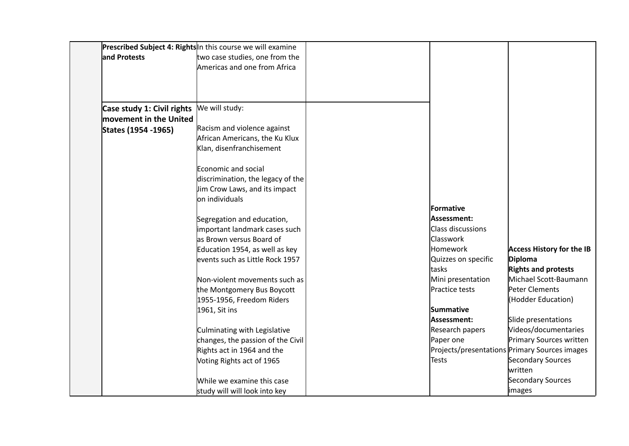|                            | Prescribed Subject 4: Rights In this course we will examine |                     |                                               |
|----------------------------|-------------------------------------------------------------|---------------------|-----------------------------------------------|
| and Protests               | two case studies, one from the                              |                     |                                               |
|                            | Americas and one from Africa                                |                     |                                               |
|                            |                                                             |                     |                                               |
|                            |                                                             |                     |                                               |
|                            |                                                             |                     |                                               |
| Case study 1: Civil rights | We will study:                                              |                     |                                               |
| movement in the United     |                                                             |                     |                                               |
| States (1954 - 1965)       | Racism and violence against                                 |                     |                                               |
|                            | African Americans, the Ku Klux                              |                     |                                               |
|                            | Klan, disenfranchisement                                    |                     |                                               |
|                            | Economic and social                                         |                     |                                               |
|                            | discrimination, the legacy of the                           |                     |                                               |
|                            | lim Crow Laws, and its impact                               |                     |                                               |
|                            | on individuals                                              |                     |                                               |
|                            |                                                             | Formative           |                                               |
|                            | Segregation and education,                                  | Assessment:         |                                               |
|                            | important landmark cases such                               | Class discussions   |                                               |
|                            | as Brown versus Board of                                    | <b>Classwork</b>    |                                               |
|                            | Education 1954, as well as key                              | Homework            | <b>Access History for the IB</b>              |
|                            | events such as Little Rock 1957                             | Quizzes on specific | <b>Diploma</b>                                |
|                            |                                                             | tasks               | <b>Rights and protests</b>                    |
|                            | Non-violent movements such as                               | Mini presentation   | Michael Scott-Baumann                         |
|                            | the Montgomery Bus Boycott                                  | Practice tests      | Peter Clements                                |
|                            | 1955-1956, Freedom Riders                                   |                     | (Hodder Education)                            |
|                            | 1961, Sit ins                                               | <b>Summative</b>    |                                               |
|                            |                                                             | Assessment:         | Slide presentations                           |
|                            | Culminating with Legislative                                | Research papers     | Videos/documentaries                          |
|                            | changes, the passion of the Civil                           | Paper one           | Primary Sources written                       |
|                            | Rights act in 1964 and the                                  |                     | Projects/presentations Primary Sources images |
|                            | Voting Rights act of 1965                                   | Tests               | Secondary Sources                             |
|                            |                                                             |                     | written                                       |
|                            | While we examine this case                                  |                     | Secondary Sources                             |
|                            | study will will look into key                               |                     | images                                        |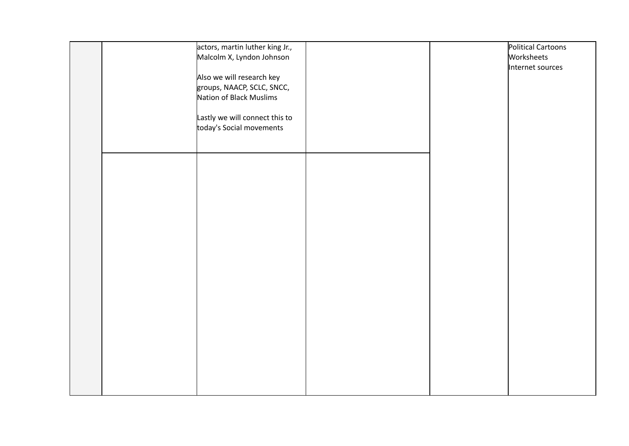|  | actors, martin luther king Jr.,<br>Malcolm X, Lyndon Johnson<br>Also we will research key<br>groups, NAACP, SCLC, SNCC,<br>Nation of Black Muslims<br>Lastly we will connect this to<br>today's Social movements |  | Political Cartoons<br>Worksheets<br>Internet sources |
|--|------------------------------------------------------------------------------------------------------------------------------------------------------------------------------------------------------------------|--|------------------------------------------------------|
|  |                                                                                                                                                                                                                  |  |                                                      |
|  |                                                                                                                                                                                                                  |  |                                                      |
|  |                                                                                                                                                                                                                  |  |                                                      |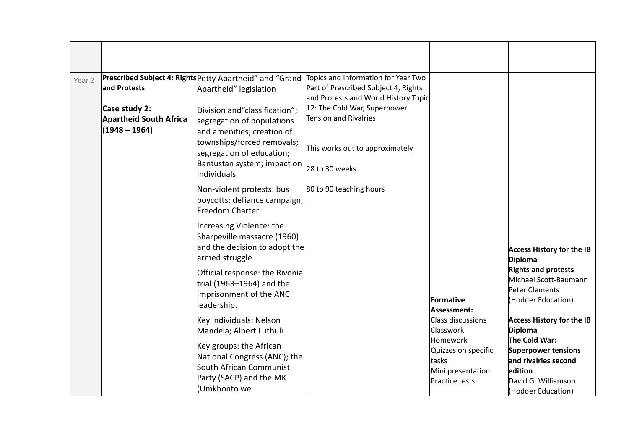| Year <sub>2</sub> | land Protests<br>Case study 2:<br><b>Apartheid South Africa</b><br>(1948 – 1964) | Prescribed Subject 4: Rights Petty Apartheid" and "Grand<br>Apartheid" legislation<br>Division and "classification";<br>segregation of populations<br>and amenities; creation of<br>townships/forced removals;<br>segregation of education;<br>Bantustan system; impact on<br>lindividuals | Topics and Information for Year Two<br>Part of Prescribed Subject 4, Rights<br>and Protests and World History Topic<br>12: The Cold War, Superpower<br>Tension and Rivalries<br>This works out to approximately<br>28 to 30 weeks |                                                                                  |                                                                                                     |
|-------------------|----------------------------------------------------------------------------------|--------------------------------------------------------------------------------------------------------------------------------------------------------------------------------------------------------------------------------------------------------------------------------------------|-----------------------------------------------------------------------------------------------------------------------------------------------------------------------------------------------------------------------------------|----------------------------------------------------------------------------------|-----------------------------------------------------------------------------------------------------|
|                   |                                                                                  | Non-violent protests: bus<br>boycotts; defiance campaign,<br>Freedom Charter                                                                                                                                                                                                               | 80 to 90 teaching hours                                                                                                                                                                                                           |                                                                                  |                                                                                                     |
|                   |                                                                                  | Increasing Violence: the<br>Sharpeville massacre (1960)<br>and the decision to adopt the<br>armed struggle                                                                                                                                                                                 |                                                                                                                                                                                                                                   |                                                                                  | <b>Access History for the IB</b><br><b>Diploma</b>                                                  |
|                   |                                                                                  | Official response: the Rivonia<br>trial (1963–1964) and the<br>imprisonment of the ANC<br>leadership.                                                                                                                                                                                      |                                                                                                                                                                                                                                   | <b>lFormative</b><br>Assessment:                                                 | <b>Rights and protests</b><br>Michael Scott-Baumann<br>Peter Clements<br>(Hodder Education)         |
|                   |                                                                                  | Key individuals: Nelson<br>Mandela; Albert Luthuli                                                                                                                                                                                                                                         |                                                                                                                                                                                                                                   | <b>Class discussions</b><br><b>Classwork</b>                                     | <b>Access History for the IB</b><br><b>Diploma</b><br>The Cold War:                                 |
|                   |                                                                                  | Key groups: the African<br>National Congress (ANC); the<br>South African Communist<br>Party (SACP) and the MK<br>Umkhonto we                                                                                                                                                               |                                                                                                                                                                                                                                   | Homework<br>Quizzes on specific<br>ltasks<br>Mini presentation<br>Practice tests | Superpower tensions<br>and rivalries second<br>edition<br>David G. Williamson<br>(Hodder Education) |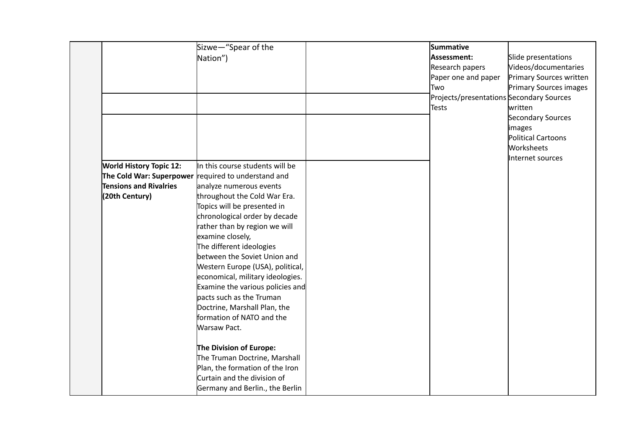|                                | Sizwe-"Spear of the                                 | Summative                                |                           |
|--------------------------------|-----------------------------------------------------|------------------------------------------|---------------------------|
|                                | Nation")                                            | Assessment:                              | Slide presentations       |
|                                |                                                     | Research papers                          | Videos/documentaries      |
|                                |                                                     | Paper one and paper                      | Primary Sources written   |
|                                |                                                     | Two                                      | Primary Sources images    |
|                                |                                                     | Projects/presentations Secondary Sources |                           |
|                                |                                                     | <b>Tests</b>                             | written                   |
|                                |                                                     |                                          | Secondary Sources         |
|                                |                                                     |                                          | images                    |
|                                |                                                     |                                          | <b>Political Cartoons</b> |
|                                |                                                     |                                          | Worksheets                |
|                                |                                                     |                                          | Internet sources          |
| <b>World History Topic 12:</b> | In this course students will be                     |                                          |                           |
|                                | The Cold War: Superpower required to understand and |                                          |                           |
| <b>Tensions and Rivalries</b>  | analyze numerous events                             |                                          |                           |
| (20th Century)                 | throughout the Cold War Era.                        |                                          |                           |
|                                | Topics will be presented in                         |                                          |                           |
|                                | chronological order by decade                       |                                          |                           |
|                                | rather than by region we will                       |                                          |                           |
|                                | examine closely,                                    |                                          |                           |
|                                | The different ideologies                            |                                          |                           |
|                                | between the Soviet Union and                        |                                          |                           |
|                                | Western Europe (USA), political,                    |                                          |                           |
|                                | economical, military ideologies.                    |                                          |                           |
|                                | Examine the various policies and                    |                                          |                           |
|                                | pacts such as the Truman                            |                                          |                           |
|                                | Doctrine, Marshall Plan, the                        |                                          |                           |
|                                | formation of NATO and the                           |                                          |                           |
|                                | Warsaw Pact.                                        |                                          |                           |
|                                | The Division of Europe:                             |                                          |                           |
|                                | The Truman Doctrine, Marshall                       |                                          |                           |
|                                | Plan, the formation of the Iron                     |                                          |                           |
|                                | Curtain and the division of                         |                                          |                           |
|                                | Germany and Berlin., the Berlin                     |                                          |                           |
|                                |                                                     |                                          |                           |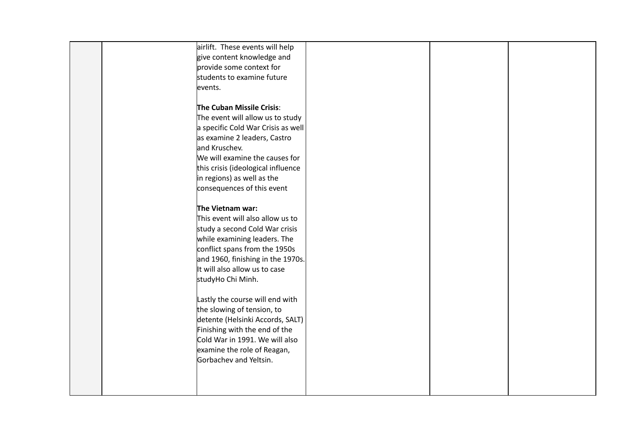| airlift. These events will help    |  |  |
|------------------------------------|--|--|
| give content knowledge and         |  |  |
| provide some context for           |  |  |
| students to examine future         |  |  |
| events.                            |  |  |
|                                    |  |  |
| The Cuban Missile Crisis:          |  |  |
| The event will allow us to study   |  |  |
| a specific Cold War Crisis as well |  |  |
| as examine 2 leaders, Castro       |  |  |
| and Kruschev.                      |  |  |
| We will examine the causes for     |  |  |
| this crisis (ideological influence |  |  |
| in regions) as well as the         |  |  |
| consequences of this event         |  |  |
|                                    |  |  |
| The Vietnam war:                   |  |  |
| This event will also allow us to   |  |  |
| study a second Cold War crisis     |  |  |
| while examining leaders. The       |  |  |
| conflict spans from the 1950s      |  |  |
| and 1960, finishing in the 1970s.  |  |  |
| It will also allow us to case      |  |  |
| studyHo Chi Minh.                  |  |  |
|                                    |  |  |
| Lastly the course will end with    |  |  |
| the slowing of tension, to         |  |  |
| detente (Helsinki Accords, SALT)   |  |  |
| Finishing with the end of the      |  |  |
| Cold War in 1991. We will also     |  |  |
| examine the role of Reagan,        |  |  |
| Gorbachev and Yeltsin.             |  |  |
|                                    |  |  |
|                                    |  |  |
|                                    |  |  |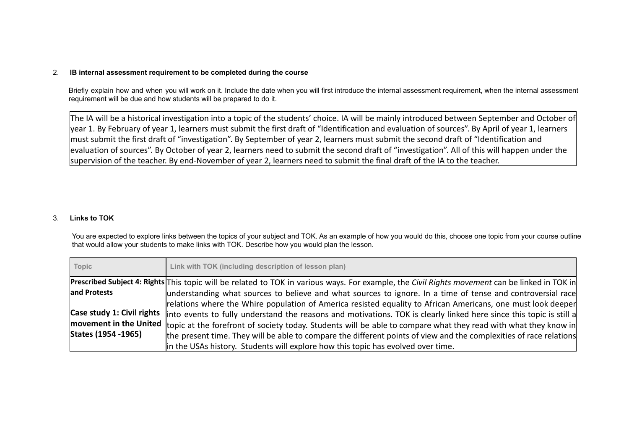### 2. **IB internal assessment requirement to be completed during the course**

Briefly explain how and when you will work on it. Include the date when you will first introduce the internal assessment requirement, when the internal assessment requirement will be due and how students will be prepared to do it.

The IA will be a historical investigation into a topic of the students' choice. IA will be mainly introduced between September and October of year 1. By February of year 1, learners must submit the first draft of "Identification and evaluation of sources". By April of year 1, learners must submit the first draft of "investigation". By September of year 2, learners must submit the second draft of "Identification and evaluation of sources". By October of year 2, learners need to submit the second draft of "investigation". All of this will happen under the supervision of the teacher. By end-November of year 2, learners need to submit the final draft of the IA to the teacher.

## 3. **Links to TOK**

You are expected to explore links between the topics of your subject and TOK. As an example of how you would do this, choose one topic from your course outline that would allow your students to make links with TOK. Describe how you would plan the lesson.

| Topic               | Link with TOK (including description of lesson plan)                                                                                                |
|---------------------|-----------------------------------------------------------------------------------------------------------------------------------------------------|
|                     | Prescribed Subject 4: Rights This topic will be related to TOK in various ways. For example, the Civil Rights movement can be linked in TOK in      |
| and Protests        | understanding what sources to believe and what sources to ignore. In a time of tense and controversial race                                         |
|                     | relations where the Whire population of America resisted equality to African Americans, one must look deeper                                        |
|                     | Case study 1: Civil rights linto events to fully understand the reasons and motivations. TOK is clearly linked here since this topic is still a     |
|                     | movement in the United t <sub>topic</sub> at the forefront of society today. Students will be able to compare what they read with what they know in |
| States (1954 -1965) | the present time. They will be able to compare the different points of view and the complexities of race relations                                  |
|                     | in the USAs history. Students will explore how this topic has evolved over time.                                                                    |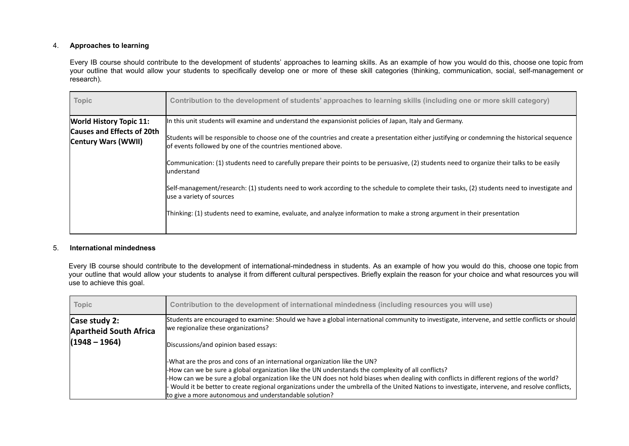# 4. **Approaches to learning**

Every IB course should contribute to the development of students' approaches to learning skills. As an example of how you would do this, choose one topic from your outline that would allow your students to specifically develop one or more of these skill categories (thinking, communication, social, self-management or research).

| Topic                                                    | Contribution to the development of students' approaches to learning skills (including one or more skill category)                                                                                             |
|----------------------------------------------------------|---------------------------------------------------------------------------------------------------------------------------------------------------------------------------------------------------------------|
| <b>World History Topic 11:</b>                           | In this unit students will examine and understand the expansionist policies of Japan, Italy and Germany.                                                                                                      |
| <b>Causes and Effects of 20th</b><br>Century Wars (WWII) | Students will be responsible to choose one of the countries and create a presentation either justifying or condemning the historical sequence<br>lof events followed by one of the countries mentioned above. |
|                                                          | Communication: (1) students need to carefully prepare their points to be persuasive, (2) students need to organize their talks to be easily<br>lunderstand                                                    |
|                                                          | Self-management/research: (1) students need to work according to the schedule to complete their tasks, (2) students need to investigate and<br>use a variety of sources                                       |
|                                                          | Thinking: (1) students need to examine, evaluate, and analyze information to make a strong argument in their presentation                                                                                     |
|                                                          |                                                                                                                                                                                                               |

### 5. **International mindedness**

Every IB course should contribute to the development of international-mindedness in students. As an example of how you would do this, choose one topic from your outline that would allow your students to analyse it from different cultural perspectives. Briefly explain the reason for your choice and what resources you will use to achieve this goal.

| Topic                                          | Contribution to the development of international mindedness (including resources you will use)                                                                                       |
|------------------------------------------------|--------------------------------------------------------------------------------------------------------------------------------------------------------------------------------------|
| Case study 2:<br><b>Apartheid South Africa</b> | Students are encouraged to examine: Should we have a global international community to investigate, intervene, and settle conflicts or should<br>we regionalize these organizations? |
| (1948 – 1964)                                  | Discussions/and opinion based essays:                                                                                                                                                |
|                                                | -What are the pros and cons of an international organization like the UN?                                                                                                            |
|                                                | -How can we be sure a global organization like the UN understands the complexity of all conflicts?                                                                                   |
|                                                | -How can we be sure a global organization like the UN does not hold biases when dealing with conflicts in different regions of the world?                                            |
|                                                | Would it be better to create regional organizations under the umbrella of the United Nations to investigate, intervene, and resolve conflicts,                                       |
|                                                | to give a more autonomous and understandable solution?                                                                                                                               |